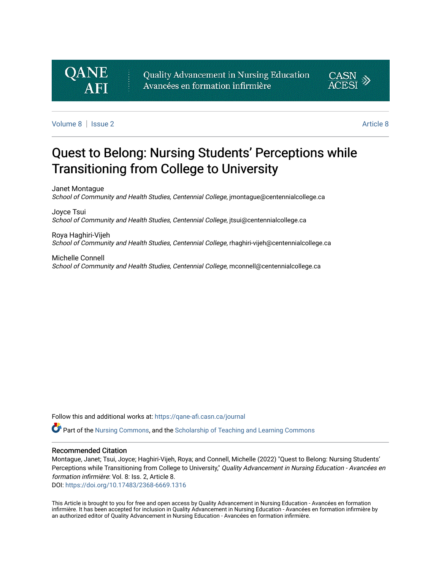# **QANE**

Quality Advancement in Nursing Education Avancées en formation infirmière



[Volume 8](https://qane-afi.casn.ca/journal/vol8) | [Issue 2](https://qane-afi.casn.ca/journal/vol8/iss2) [Article 8](https://qane-afi.casn.ca/journal/vol8/iss2/8) | Issue 2 Article 8 | Issue 2 Article 8 | Issue 2 Article 8 | Issue 2 Article 8 |

# Quest to Belong: Nursing Students' Perceptions while Transitioning from College to University

Janet Montague School of Community and Health Studies, Centennial College, jmontague@centennialcollege.ca

Joyce Tsui School of Community and Health Studies, Centennial College, itsui@centennialcollege.ca

Roya Haghiri-Vijeh School of Community and Health Studies, Centennial College, rhaghiri-vijeh@centennialcollege.ca

Michelle Connell School of Community and Health Studies, Centennial College, mconnell@centennialcollege.ca

Follow this and additional works at: [https://qane-afi.casn.ca/journal](https://qane-afi.casn.ca/journal?utm_source=qane-afi.casn.ca%2Fjournal%2Fvol8%2Fiss2%2F8&utm_medium=PDF&utm_campaign=PDFCoverPages) 

Part of the [Nursing Commons](https://network.bepress.com/hgg/discipline/718?utm_source=qane-afi.casn.ca%2Fjournal%2Fvol8%2Fiss2%2F8&utm_medium=PDF&utm_campaign=PDFCoverPages), and the [Scholarship of Teaching and Learning Commons](https://network.bepress.com/hgg/discipline/1328?utm_source=qane-afi.casn.ca%2Fjournal%2Fvol8%2Fiss2%2F8&utm_medium=PDF&utm_campaign=PDFCoverPages)

#### Recommended Citation

Montague, Janet; Tsui, Joyce; Haghiri-Vijeh, Roya; and Connell, Michelle (2022) "Quest to Belong: Nursing Students' Perceptions while Transitioning from College to University," Quality Advancement in Nursing Education - Avancées en formation infirmière: Vol. 8: Iss. 2, Article 8.

DOI: <https://doi.org/10.17483/2368-6669.1316>

This Article is brought to you for free and open access by Quality Advancement in Nursing Education - Avancées en formation infirmière. It has been accepted for inclusion in Quality Advancement in Nursing Education - Avancées en formation infirmière by an authorized editor of Quality Advancement in Nursing Education - Avancées en formation infirmière.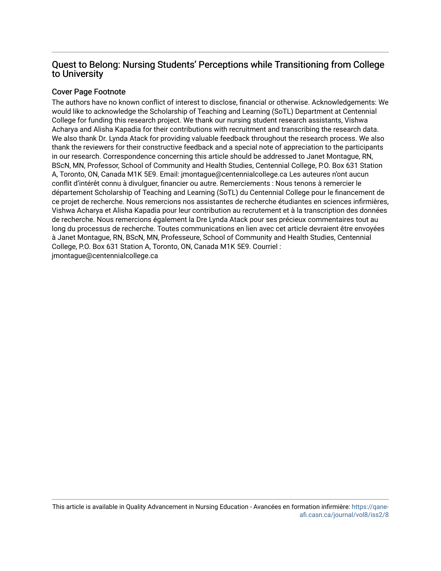# Quest to Belong: Nursing Students' Perceptions while Transitioning from College to University

# Cover Page Footnote

The authors have no known conflict of interest to disclose, financial or otherwise. Acknowledgements: We would like to acknowledge the Scholarship of Teaching and Learning (SoTL) Department at Centennial College for funding this research project. We thank our nursing student research assistants, Vishwa Acharya and Alisha Kapadia for their contributions with recruitment and transcribing the research data. We also thank Dr. Lynda Atack for providing valuable feedback throughout the research process. We also thank the reviewers for their constructive feedback and a special note of appreciation to the participants in our research. Correspondence concerning this article should be addressed to Janet Montague, RN, BScN, MN, Professor, School of Community and Health Studies, Centennial College, P.O. Box 631 Station A, Toronto, ON, Canada M1K 5E9. Email: jmontague@centennialcollege.ca Les auteures n'ont aucun conflit d'intérêt connu à divulguer, financier ou autre. Remerciements : Nous tenons à remercier le département Scholarship of Teaching and Learning (SoTL) du Centennial College pour le financement de ce projet de recherche. Nous remercions nos assistantes de recherche étudiantes en sciences infirmières, Vishwa Acharya et Alisha Kapadia pour leur contribution au recrutement et à la transcription des données de recherche. Nous remercions également la Dre Lynda Atack pour ses précieux commentaires tout au long du processus de recherche. Toutes communications en lien avec cet article devraient être envoyées à Janet Montague, RN, BScN, MN, Professeure, School of Community and Health Studies, Centennial College, P.O. Box 631 Station A, Toronto, ON, Canada M1K 5E9. Courriel : jmontague@centennialcollege.ca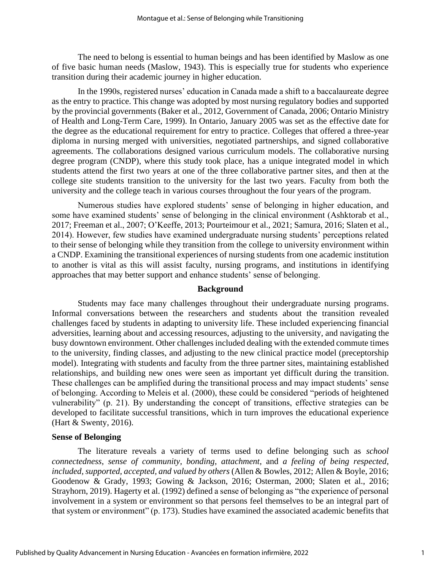The need to belong is essential to human beings and has been identified by Maslow as one of five basic human needs (Maslow, 1943). This is especially true for students who experience transition during their academic journey in higher education.

In the 1990s, registered nurses' education in Canada made a shift to a baccalaureate degree as the entry to practice. This change was adopted by most nursing regulatory bodies and supported by the provincial governments (Baker et al., 2012, Government of Canada, 2006; Ontario Ministry of Health and Long-Term Care, 1999). In Ontario, January 2005 was set as the effective date for the degree as the educational requirement for entry to practice. Colleges that offered a three-year diploma in nursing merged with universities, negotiated partnerships, and signed collaborative agreements. The collaborations designed various curriculum models. The collaborative nursing degree program (CNDP), where this study took place, has a unique integrated model in which students attend the first two years at one of the three collaborative partner sites, and then at the college site students transition to the university for the last two years. Faculty from both the university and the college teach in various courses throughout the four years of the program.

Numerous studies have explored students' sense of belonging in higher education, and some have examined students' sense of belonging in the clinical environment (Ashktorab et al., 2017; Freeman et al., 2007; O'Keeffe, 2013; Pourteimour et al., 2021; Samura, 2016; Slaten et al., 2014). However, few studies have examined undergraduate nursing students' perceptions related to their sense of belonging while they transition from the college to university environment within a CNDP. Examining the transitional experiences of nursing students from one academic institution to another is vital as this will assist faculty, nursing programs, and institutions in identifying approaches that may better support and enhance students' sense of belonging.

#### **Background**

Students may face many challenges throughout their undergraduate nursing programs. Informal conversations between the researchers and students about the transition revealed challenges faced by students in adapting to university life. These included experiencing financial adversities, learning about and accessing resources, adjusting to the university, and navigating the busy downtown environment. Other challenges included dealing with the extended commute times to the university, finding classes, and adjusting to the new clinical practice model (preceptorship model). Integrating with students and faculty from the three partner sites, maintaining established relationships, and building new ones were seen as important yet difficult during the transition. These challenges can be amplified during the transitional process and may impact students' sense of belonging. According to Meleis et al. (2000), these could be considered "periods of heightened vulnerability" (p. 21). By understanding the concept of transitions, effective strategies can be developed to facilitate successful transitions, which in turn improves the educational experience (Hart & Swenty, 2016).

#### **Sense of Belonging**

The literature reveals a variety of terms used to define belonging such as *school connectedness*, *sense of community*, *bonding*, *attachment*, and *a feeling of being respected, included, supported, accepted, and valued by others* (Allen & Bowles, 2012; Allen & Boyle, 2016; Goodenow & Grady, 1993; Gowing & Jackson, 2016; Osterman, 2000; Slaten et al., 2016; Strayhorn, 2019). Hagerty et al. (1992) defined a sense of belonging as "the experience of personal involvement in a system or environment so that persons feel themselves to be an integral part of that system or environment" (p. 173). Studies have examined the associated academic benefits that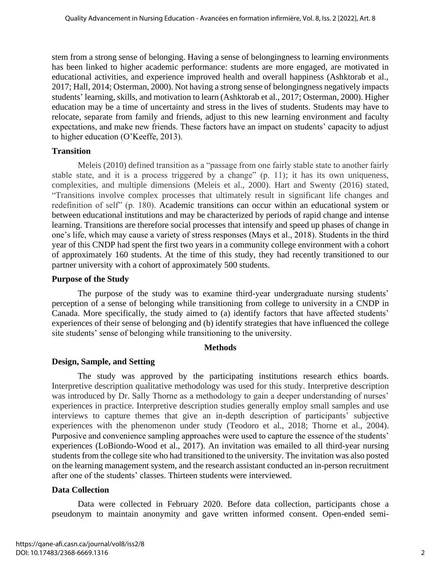stem from a strong sense of belonging. Having a sense of belongingness to learning environments has been linked to higher academic performance: students are more engaged, are motivated in educational activities, and experience improved health and overall happiness (Ashktorab et al., 2017; Hall, 2014; Osterman, 2000). Not having a strong sense of belongingness negatively impacts students' learning, skills, and motivation to learn (Ashktorab et al., 2017; Osterman, 2000). Higher education may be a time of uncertainty and stress in the lives of students. Students may have to relocate, separate from family and friends, adjust to this new learning environment and faculty expectations, and make new friends. These factors have an impact on students' capacity to adjust to higher education (O'Keeffe, 2013).

#### **Transition**

Meleis (2010) defined transition as a "passage from one fairly stable state to another fairly stable state, and it is a process triggered by a change" (p. 11); it has its own uniqueness, complexities, and multiple dimensions (Meleis et al., 2000). Hart and Swenty (2016) stated, "Transitions involve complex processes that ultimately result in significant life changes and redefinition of self" (p. 180). Academic transitions can occur within an educational system or between educational institutions and may be characterized by periods of rapid change and intense learning. Transitions are therefore social processes that intensify and speed up phases of change in one's life, which may cause a variety of stress responses (Mays et al., 2018). Students in the third year of this CNDP had spent the first two years in a community college environment with a cohort of approximately 160 students. At the time of this study, they had recently transitioned to our partner university with a cohort of approximately 500 students.

#### **Purpose of the Study**

The purpose of the study was to examine third-year undergraduate nursing students' perception of a sense of belonging while transitioning from college to university in a CNDP in Canada. More specifically, the study aimed to (a) identify factors that have affected students' experiences of their sense of belonging and (b) identify strategies that have influenced the college site students' sense of belonging while transitioning to the university.

#### **Methods**

# **Design, Sample, and Setting**

The study was approved by the participating institutions research ethics boards. Interpretive description qualitative methodology was used for this study. Interpretive description was introduced by Dr. Sally Thorne as a methodology to gain a deeper understanding of nurses' experiences in practice. Interpretive description studies generally employ small samples and use interviews to capture themes that give an in-depth description of participants' subjective experiences with the phenomenon under study (Teodoro et al., 2018; Thorne et al., 2004). Purposive and convenience sampling approaches were used to capture the essence of the students' experiences (LoBiondo-Wood et al., 2017). An invitation was emailed to all third-year nursing students from the college site who had transitioned to the university. The invitation was also posted on the learning management system, and the research assistant conducted an in-person recruitment after one of the students' classes. Thirteen students were interviewed.

# **Data Collection**

Data were collected in February 2020. Before data collection, participants chose a pseudonym to maintain anonymity and gave written informed consent. Open-ended semi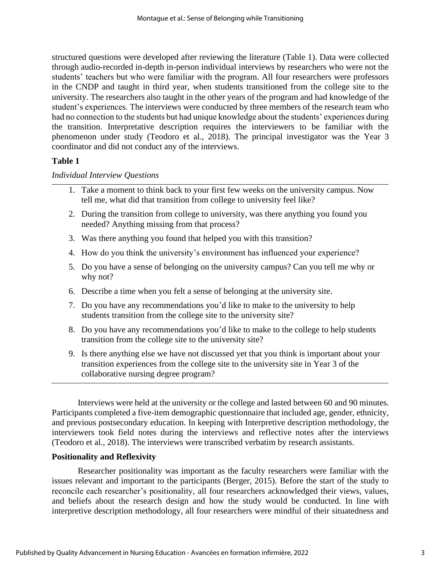structured questions were developed after reviewing the literature (Table 1). Data were collected through audio-recorded in-depth in-person individual interviews by researchers who were not the students' teachers but who were familiar with the program. All four researchers were professors in the CNDP and taught in third year, when students transitioned from the college site to the university. The researchers also taught in the other years of the program and had knowledge of the student's experiences. The interviews were conducted by three members of the research team who had no connection to the students but had unique knowledge about the students' experiences during the transition. Interpretative description requires the interviewers to be familiar with the phenomenon under study (Teodoro et al., 2018). The principal investigator was the Year 3 coordinator and did not conduct any of the interviews.

#### **Table 1**

#### *Individual Interview Questions*

- 1. Take a moment to think back to your first few weeks on the university campus. Now tell me, what did that transition from college to university feel like?
- 2. During the transition from college to university, was there anything you found you needed? Anything missing from that process?
- 3. Was there anything you found that helped you with this transition?
- 4. How do you think the university's environment has influenced your experience?
- 5. Do you have a sense of belonging on the university campus? Can you tell me why or why not?
- 6. Describe a time when you felt a sense of belonging at the university site.
- 7. Do you have any recommendations you'd like to make to the university to help students transition from the college site to the university site?
- 8. Do you have any recommendations you'd like to make to the college to help students transition from the college site to the university site?
- 9. Is there anything else we have not discussed yet that you think is important about your transition experiences from the college site to the university site in Year 3 of the collaborative nursing degree program?

Interviews were held at the university or the college and lasted between 60 and 90 minutes. Participants completed a five-item demographic questionnaire that included age, gender, ethnicity, and previous postsecondary education. In keeping with Interpretive description methodology, the interviewers took field notes during the interviews and reflective notes after the interviews (Teodoro et al., 2018). The interviews were transcribed verbatim by research assistants.

# **Positionality and Reflexivity**

Researcher positionality was important as the faculty researchers were familiar with the issues relevant and important to the participants (Berger, 2015). Before the start of the study to reconcile each researcher's positionality, all four researchers acknowledged their views, values, and beliefs about the research design and how the study would be conducted. In line with interpretive description methodology, all four researchers were mindful of their situatedness and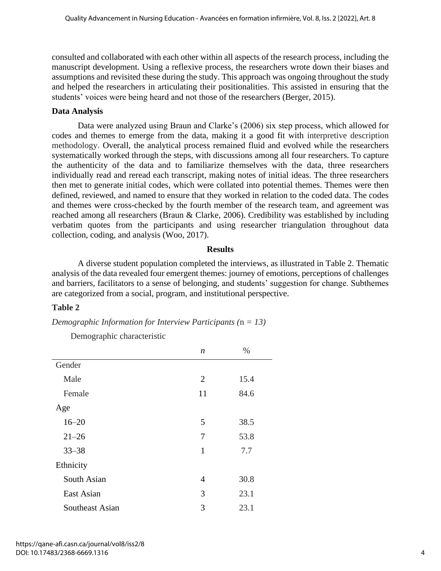consulted and collaborated with each other within all aspects of the research process, including the manuscript development. Using a reflexive process, the researchers wrote down their biases and assumptions and revisited these during the study. This approach was ongoing throughout the study and helped the researchers in articulating their positionalities. This assisted in ensuring that the students' voices were being heard and not those of the researchers (Berger, 2015).

### **Data Analysis**

Data were analyzed using Braun and Clarke's (2006) six step process, which allowed for codes and themes to emerge from the data, making it a good fit with interpretive description methodology. Overall, the analytical process remained fluid and evolved while the researchers systematically worked through the steps, with discussions among all four researchers. To capture the authenticity of the data and to familiarize themselves with the data, three researchers individually read and reread each transcript, making notes of initial ideas. The three researchers then met to generate initial codes, which were collated into potential themes. Themes were then defined, reviewed, and named to ensure that they worked in relation to the coded data. The codes and themes were cross-checked by the fourth member of the research team, and agreement was reached among all researchers (Braun & Clarke, 2006). Credibility was established by including verbatim quotes from the participants and using researcher triangulation throughout data collection, coding, and analysis (Woo, 2017).

#### **Results**

A diverse student population completed the interviews, as illustrated in Table 2. Thematic analysis of the data revealed four emergent themes: journey of emotions, perceptions of challenges and barriers, facilitators to a sense of belonging, and students' suggestion for change. Subthemes are categorized from a social, program, and institutional perspective.

#### **Table 2**

*Demographic Information for Interview Participants (*n *= 13)*

Demographic characteristic

|                 | n  | $\%$ |
|-----------------|----|------|
| Gender          |    |      |
| Male            | 2  | 15.4 |
| Female          | 11 | 84.6 |
| Age             |    |      |
| $16 - 20$       | 5  | 38.5 |
| $21 - 26$       | 7  | 53.8 |
| $33 - 38$       | 1  | 7.7  |
| Ethnicity       |    |      |
| South Asian     | 4  | 30.8 |
| East Asian      | 3  | 23.1 |
| Southeast Asian | 3  | 23.1 |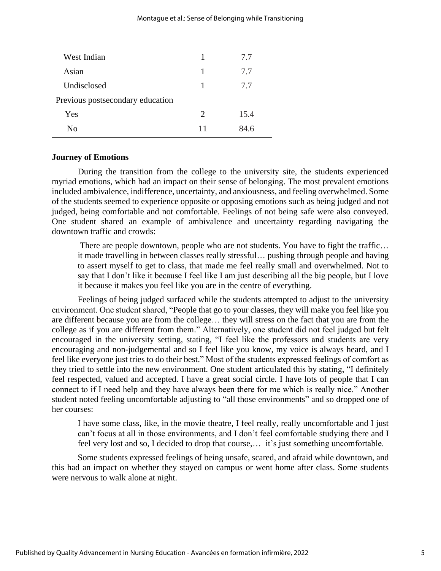| West Indian                      | 1                           | 7.7  |
|----------------------------------|-----------------------------|------|
| Asian                            | 1                           | 7.7  |
| Undisclosed                      | 1                           | 7.7  |
| Previous postsecondary education |                             |      |
| Yes                              | $\mathcal{D}_{\mathcal{L}}$ | 15.4 |
| Nο                               | 11                          | 84 R |

#### **Journey of Emotions**

During the transition from the college to the university site, the students experienced myriad emotions, which had an impact on their sense of belonging. The most prevalent emotions included ambivalence, indifference, uncertainty, and anxiousness, and feeling overwhelmed. Some of the students seemed to experience opposite or opposing emotions such as being judged and not judged, being comfortable and not comfortable. Feelings of not being safe were also conveyed. One student shared an example of ambivalence and uncertainty regarding navigating the downtown traffic and crowds:

There are people downtown, people who are not students. You have to fight the traffic… it made travelling in between classes really stressful… pushing through people and having to assert myself to get to class, that made me feel really small and overwhelmed. Not to say that I don't like it because I feel like I am just describing all the big people, but I love it because it makes you feel like you are in the centre of everything.

Feelings of being judged surfaced while the students attempted to adjust to the university environment. One student shared, "People that go to your classes, they will make you feel like you are different because you are from the college… they will stress on the fact that you are from the college as if you are different from them." Alternatively, one student did not feel judged but felt encouraged in the university setting, stating, "I feel like the professors and students are very encouraging and non-judgemental and so I feel like you know, my voice is always heard, and I feel like everyone just tries to do their best." Most of the students expressed feelings of comfort as they tried to settle into the new environment. One student articulated this by stating, "I definitely feel respected, valued and accepted. I have a great social circle. I have lots of people that I can connect to if I need help and they have always been there for me which is really nice." Another student noted feeling uncomfortable adjusting to "all those environments" and so dropped one of her courses:

I have some class, like, in the movie theatre, I feel really, really uncomfortable and I just can't focus at all in those environments, and I don't feel comfortable studying there and I feel very lost and so, I decided to drop that course,… it's just something uncomfortable.

Some students expressed feelings of being unsafe, scared, and afraid while downtown, and this had an impact on whether they stayed on campus or went home after class. Some students were nervous to walk alone at night.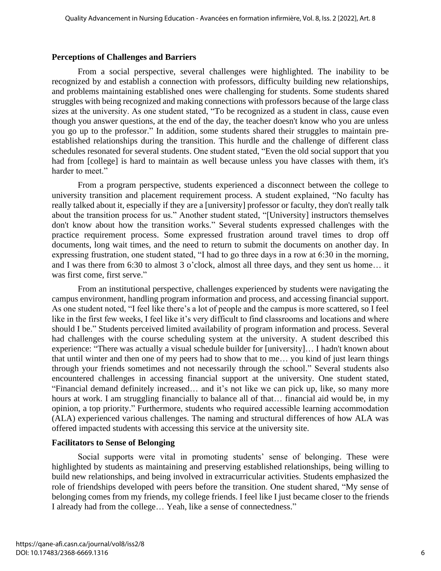#### **Perceptions of Challenges and Barriers**

From a social perspective, several challenges were highlighted. The inability to be recognized by and establish a connection with professors, difficulty building new relationships, and problems maintaining established ones were challenging for students. Some students shared struggles with being recognized and making connections with professors because of the large class sizes at the university. As one student stated, "To be recognized as a student in class, cause even though you answer questions, at the end of the day, the teacher doesn't know who you are unless you go up to the professor." In addition, some students shared their struggles to maintain preestablished relationships during the transition. This hurdle and the challenge of different class schedules resonated for several students. One student stated, "Even the old social support that you had from [college] is hard to maintain as well because unless you have classes with them, it's harder to meet."

From a program perspective, students experienced a disconnect between the college to university transition and placement requirement process. A student explained, "No faculty has really talked about it, especially if they are a [university] professor or faculty, they don't really talk about the transition process for us." Another student stated, "[University] instructors themselves don't know about how the transition works." Several students expressed challenges with the practice requirement process. Some expressed frustration around travel times to drop off documents, long wait times, and the need to return to submit the documents on another day. In expressing frustration, one student stated, "I had to go three days in a row at 6:30 in the morning, and I was there from 6:30 to almost 3 o'clock, almost all three days, and they sent us home… it was first come, first serve."

From an institutional perspective, challenges experienced by students were navigating the campus environment, handling program information and process, and accessing financial support. As one student noted, "I feel like there's a lot of people and the campus is more scattered, so I feel like in the first few weeks, I feel like it's very difficult to find classrooms and locations and where should I be." Students perceived limited availability of program information and process. Several had challenges with the course scheduling system at the university. A student described this experience: "There was actually a visual schedule builder for [university]… I hadn't known about that until winter and then one of my peers had to show that to me… you kind of just learn things through your friends sometimes and not necessarily through the school." Several students also encountered challenges in accessing financial support at the university. One student stated, "Financial demand definitely increased… and it's not like we can pick up, like, so many more hours at work. I am struggling financially to balance all of that… financial aid would be, in my opinion, a top priority." Furthermore, students who required accessible learning accommodation (ALA) experienced various challenges. The naming and structural differences of how ALA was offered impacted students with accessing this service at the university site.

#### **Facilitators to Sense of Belonging**

Social supports were vital in promoting students' sense of belonging. These were highlighted by students as maintaining and preserving established relationships, being willing to build new relationships, and being involved in extracurricular activities. Students emphasized the role of friendships developed with peers before the transition. One student shared, "My sense of belonging comes from my friends, my college friends. I feel like I just became closer to the friends I already had from the college… Yeah, like a sense of connectedness."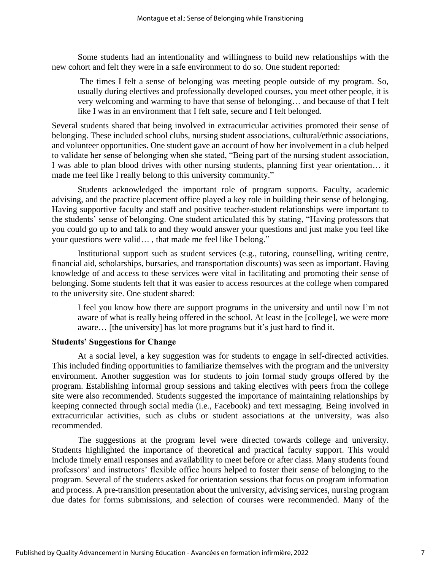Some students had an intentionality and willingness to build new relationships with the new cohort and felt they were in a safe environment to do so. One student reported:

The times I felt a sense of belonging was meeting people outside of my program. So, usually during electives and professionally developed courses, you meet other people, it is very welcoming and warming to have that sense of belonging… and because of that I felt like I was in an environment that I felt safe, secure and I felt belonged.

Several students shared that being involved in extracurricular activities promoted their sense of belonging. These included school clubs, nursing student associations, cultural/ethnic associations, and volunteer opportunities. One student gave an account of how her involvement in a club helped to validate her sense of belonging when she stated, "Being part of the nursing student association, I was able to plan blood drives with other nursing students, planning first year orientation… it made me feel like I really belong to this university community."

Students acknowledged the important role of program supports. Faculty, academic advising, and the practice placement office played a key role in building their sense of belonging. Having supportive faculty and staff and positive teacher-student relationships were important to the students' sense of belonging. One student articulated this by stating, "Having professors that you could go up to and talk to and they would answer your questions and just make you feel like your questions were valid… , that made me feel like I belong."

Institutional support such as student services (e.g., tutoring, counselling, writing centre, financial aid, scholarships, bursaries, and transportation discounts) was seen as important. Having knowledge of and access to these services were vital in facilitating and promoting their sense of belonging. Some students felt that it was easier to access resources at the college when compared to the university site. One student shared:

I feel you know how there are support programs in the university and until now I'm not aware of what is really being offered in the school. At least in the [college], we were more aware… [the university] has lot more programs but it's just hard to find it.

#### **Students' Suggestions for Change**

At a social level, a key suggestion was for students to engage in self-directed activities. This included finding opportunities to familiarize themselves with the program and the university environment. Another suggestion was for students to join formal study groups offered by the program. Establishing informal group sessions and taking electives with peers from the college site were also recommended. Students suggested the importance of maintaining relationships by keeping connected through social media (i.e., Facebook) and text messaging. Being involved in extracurricular activities, such as clubs or student associations at the university, was also recommended.

The suggestions at the program level were directed towards college and university. Students highlighted the importance of theoretical and practical faculty support. This would include timely email responses and availability to meet before or after class. Many students found professors' and instructors' flexible office hours helped to foster their sense of belonging to the program. Several of the students asked for orientation sessions that focus on program information and process. A pre-transition presentation about the university, advising services, nursing program due dates for forms submissions, and selection of courses were recommended. Many of the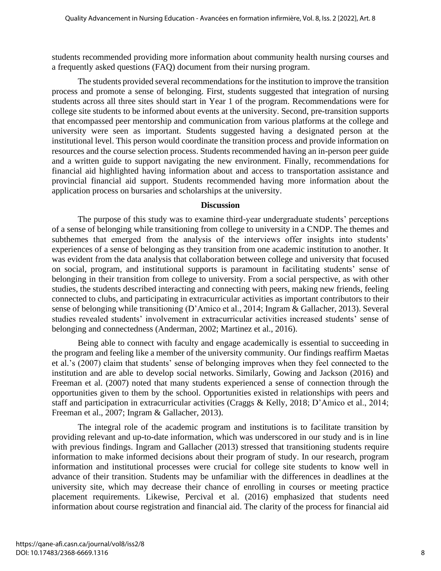students recommended providing more information about community health nursing courses and a frequently asked questions (FAQ) document from their nursing program.

The students provided several recommendations for the institution to improve the transition process and promote a sense of belonging. First, students suggested that integration of nursing students across all three sites should start in Year 1 of the program. Recommendations were for college site students to be informed about events at the university. Second, pre-transition supports that encompassed peer mentorship and communication from various platforms at the college and university were seen as important. Students suggested having a designated person at the institutional level. This person would coordinate the transition process and provide information on resources and the course selection process. Students recommended having an in-person peer guide and a written guide to support navigating the new environment. Finally, recommendations for financial aid highlighted having information about and access to transportation assistance and provincial financial aid support. Students recommended having more information about the application process on bursaries and scholarships at the university.

#### **Discussion**

The purpose of this study was to examine third-year undergraduate students' perceptions of a sense of belonging while transitioning from college to university in a CNDP. The themes and subthemes that emerged from the analysis of the interviews offer insights into students' experiences of a sense of belonging as they transition from one academic institution to another. It was evident from the data analysis that collaboration between college and university that focused on social, program, and institutional supports is paramount in facilitating students' sense of belonging in their transition from college to university. From a social perspective, as with other studies, the students described interacting and connecting with peers, making new friends, feeling connected to clubs, and participating in extracurricular activities as important contributors to their sense of belonging while transitioning (D'Amico et al., 2014; Ingram & Gallacher, 2013). Several studies revealed students' involvement in extracurricular activities increased students' sense of belonging and connectedness (Anderman, 2002; Martinez et al., 2016).

Being able to connect with faculty and engage academically is essential to succeeding in the program and feeling like a member of the university community. Our findings reaffirm Maetas et al.'s (2007) claim that students' sense of belonging improves when they feel connected to the institution and are able to develop social networks. Similarly, Gowing and Jackson (2016) and Freeman et al. (2007) noted that many students experienced a sense of connection through the opportunities given to them by the school. Opportunities existed in relationships with peers and staff and participation in extracurricular activities (Craggs & Kelly, 2018; D'Amico et al., 2014; Freeman et al., 2007; Ingram & Gallacher, 2013).

The integral role of the academic program and institutions is to facilitate transition by providing relevant and up-to-date information, which was underscored in our study and is in line with previous findings. Ingram and Gallacher (2013) stressed that transitioning students require information to make informed decisions about their program of study. In our research, program information and institutional processes were crucial for college site students to know well in advance of their transition. Students may be unfamiliar with the differences in deadlines at the university site, which may decrease their chance of enrolling in courses or meeting practice placement requirements. Likewise, Percival et al. (2016) emphasized that students need information about course registration and financial aid. The clarity of the process for financial aid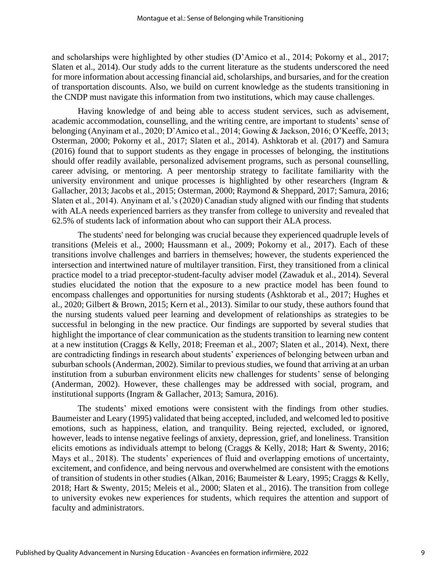and scholarships were highlighted by other studies (D'Amico et al., 2014; Pokorny et al., 2017; Slaten et al., 2014). Our study adds to the current literature as the students underscored the need for more information about accessing financial aid, scholarships, and bursaries, and for the creation of transportation discounts. Also, we build on current knowledge as the students transitioning in the CNDP must navigate this information from two institutions, which may cause challenges.

Having knowledge of and being able to access student services, such as advisement, academic accommodation, counselling, and the writing centre, are important to students' sense of belonging (Anyinam et al., 2020; D'Amico et al., 2014; Gowing & Jackson, 2016; O'Keeffe, 2013; Osterman, 2000; Pokorny et al., 2017; Slaten et al., 2014). Ashktorab et al. (2017) and Samura (2016) found that to support students as they engage in processes of belonging, the institutions should offer readily available, personalized advisement programs, such as personal counselling, career advising, or mentoring. A peer mentorship strategy to facilitate familiarity with the university environment and unique processes is highlighted by other researchers (Ingram & Gallacher, 2013; Jacobs et al., 2015; Osterman, 2000; Raymond & Sheppard, 2017; Samura, 2016; Slaten et al., 2014). Anyinam et al.'s (2020) Canadian study aligned with our finding that students with ALA needs experienced barriers as they transfer from college to university and revealed that 62.5% of students lack of information about who can support their ALA process.

The students' need for belonging was crucial because they experienced quadruple levels of transitions (Meleis et al., 2000; Haussmann et al., 2009; Pokorny et al., 2017). Each of these transitions involve challenges and barriers in themselves; however, the students experienced the intersection and intertwined nature of multilayer transition. First, they transitioned from a clinical practice model to a triad preceptor-student-faculty adviser model (Zawaduk et al., 2014). Several studies elucidated the notion that the exposure to a new practice model has been found to encompass challenges and opportunities for nursing students (Ashktorab et al., 2017; Hughes et al., 2020; Gilbert & Brown, 2015; Kern et al., 2013). Similar to our study, these authors found that the nursing students valued peer learning and development of relationships as strategies to be successful in belonging in the new practice. Our findings are supported by several studies that highlight the importance of clear communication as the students transition to learning new content at a new institution (Craggs & Kelly, 2018; Freeman et al., 2007; Slaten et al., 2014). Next, there are contradicting findings in research about students' experiences of belonging between urban and suburban schools (Anderman, 2002). Similar to previous studies, we found that arriving at an urban institution from a suburban environment elicits new challenges for students' sense of belonging (Anderman, 2002). However, these challenges may be addressed with social, program, and institutional supports (Ingram & Gallacher, 2013; Samura, 2016).

The students' mixed emotions were consistent with the findings from other studies. Baumeister and Leary (1995) validated that being accepted, included, and welcomed led to positive emotions, such as happiness, elation, and tranquility. Being rejected, excluded, or ignored, however, leads to intense negative feelings of anxiety, depression, grief, and loneliness. Transition elicits emotions as individuals attempt to belong (Craggs & Kelly, 2018; Hart & Swenty, 2016; Mays et al., 2018). The students' experiences of fluid and overlapping emotions of uncertainty, excitement, and confidence, and being nervous and overwhelmed are consistent with the emotions of transition of students in other studies (Alkan, 2016; Baumeister & Leary, 1995; Craggs & Kelly, 2018; Hart & Swenty, 2015; Meleis et al., 2000; Slaten et al., 2016). The transition from college to university evokes new experiences for students, which requires the attention and support of faculty and administrators.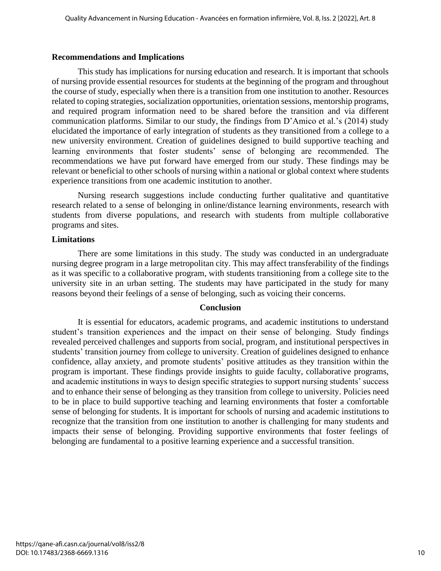#### **Recommendations and Implications**

This study has implications for nursing education and research. It is important that schools of nursing provide essential resources for students at the beginning of the program and throughout the course of study, especially when there is a transition from one institution to another. Resources related to coping strategies, socialization opportunities, orientation sessions, mentorship programs, and required program information need to be shared before the transition and via different communication platforms. Similar to our study, the findings from D'Amico et al.'s (2014) study elucidated the importance of early integration of students as they transitioned from a college to a new university environment. Creation of guidelines designed to build supportive teaching and learning environments that foster students' sense of belonging are recommended. The recommendations we have put forward have emerged from our study. These findings may be relevant or beneficial to other schools of nursing within a national or global context where students experience transitions from one academic institution to another.

Nursing research suggestions include conducting further qualitative and quantitative research related to a sense of belonging in online/distance learning environments, research with students from diverse populations, and research with students from multiple collaborative programs and sites.

#### **Limitations**

There are some limitations in this study. The study was conducted in an undergraduate nursing degree program in a large metropolitan city. This may affect transferability of the findings as it was specific to a collaborative program, with students transitioning from a college site to the university site in an urban setting. The students may have participated in the study for many reasons beyond their feelings of a sense of belonging, such as voicing their concerns.

#### **Conclusion**

It is essential for educators, academic programs, and academic institutions to understand student's transition experiences and the impact on their sense of belonging. Study findings revealed perceived challenges and supports from social, program, and institutional perspectives in students' transition journey from college to university. Creation of guidelines designed to enhance confidence, allay anxiety, and promote students' positive attitudes as they transition within the program is important. These findings provide insights to guide faculty, collaborative programs, and academic institutions in ways to design specific strategies to support nursing students' success and to enhance their sense of belonging as they transition from college to university. Policies need to be in place to build supportive teaching and learning environments that foster a comfortable sense of belonging for students. It is important for schools of nursing and academic institutions to recognize that the transition from one institution to another is challenging for many students and impacts their sense of belonging. Providing supportive environments that foster feelings of belonging are fundamental to a positive learning experience and a successful transition.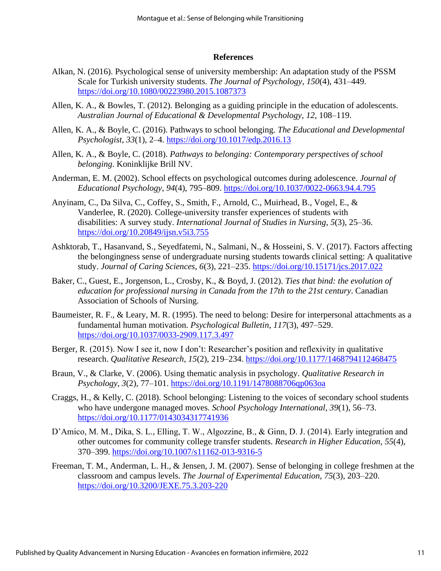#### **References**

- Alkan, N. (2016). Psychological sense of university membership: An adaptation study of the PSSM Scale for Turkish university students. *The Journal of Psychology*, *150*(4), 431–449. <https://doi.org/10.1080/00223980.2015.1087373>
- Allen, K. A., & Bowles, T. (2012). Belonging as a guiding principle in the education of adolescents. *Australian Journal of Educational & Developmental Psychology*, *12*, 108–119.
- Allen, K. A., & Boyle, C. (2016). Pathways to school belonging. *The Educational and Developmental Psychologist, 33*(1), 2–4.<https://doi.org/10.1017/edp.2016.13>
- Allen, K. A., & Boyle, C. (2018). *Pathways to belonging: Contemporary perspectives of school belonging*. Koninklijke Brill NV.
- Anderman, E. M. (2002). School effects on psychological outcomes during adolescence. *Journal of Educational Psychology*, *94*(4), 795–809.<https://doi.org/10.1037/0022-0663.94.4.795>
- Anyinam, C., Da Silva, C., Coffey, S., Smith, F., Arnold, C., Muirhead, B., Vogel, E., & Vanderlee, R. (2020). College-university transfer experiences of students with disabilities: A survey study. *International Journal of Studies in Nursing*, *5*(3), 25–36. https://doi.org/10.20849/ijsn.v5i3.755
- Ashktorab, T., Hasanvand, S., Seyedfatemi, N., Salmani, N., & Hosseini, S. V. (2017). Factors affecting the belongingness sense of undergraduate nursing students towards clinical setting: A qualitative study. *Journal of Caring Sciences*, *6*(3), 221–235. https://doi.org/10.15171/jcs.2017.022
- Baker, C., Guest, E., Jorgenson, L., Crosby, K., & Boyd, J. (2012). *Ties that bind: the evolution of education for professional nursing in Canada from the 17th to the 21st century*. Canadian Association of Schools of Nursing.
- Baumeister, R. F., & Leary, M. R. (1995). The need to belong: Desire for interpersonal attachments as a fundamental human motivation. *Psychological Bulletin*, *117*(3), 497–529. <https://doi.org/10.1037/0033-2909.117.3.497>
- Berger, R. (2015). Now I see it, now I don't: Researcher's position and reflexivity in qualitative research. *Qualitative Research, 15*(2), 219–234.<https://doi.org/10.1177/1468794112468475>
- Braun, V., & Clarke, V. (2006). Using thematic analysis in psychology. *Qualitative Research in Psychology*, *3*(2), 77–101.<https://doi.org/10.1191/1478088706qp063oa>
- Craggs, H., & Kelly, C. (2018). School belonging: Listening to the voices of secondary school students who have undergone managed moves. *School Psychology International*, *39*(1), 56–73. <https://doi.org/10.1177/0143034317741936>
- D'Amico, M. M., Dika, S. L., Elling, T. W., Algozzine, B., & Ginn, D. J. (2014). Early integration and other outcomes for community college transfer students. *Research in Higher Education*, *55*(4), 370–399.<https://doi.org/10.1007/s11162-013-9316-5>
- Freeman, T. M., Anderman, L. H., & Jensen, J. M. (2007). Sense of belonging in college freshmen at the classroom and campus levels. *The Journal of Experimental Education*, *75*(3), 203–220. https://doi.org/10.3200/JEXE.75.3.203-220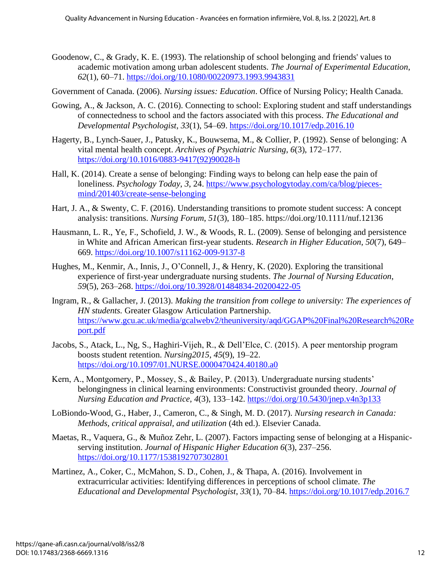- Goodenow, C., & Grady, K. E. (1993). The relationship of school belonging and friends' values to academic motivation among urban adolescent students. *The Journal of Experimental Education*, *62*(1), 60–71. https://doi.org/10.1080/00220973.1993.9943831
- Government of Canada. (2006). *Nursing issues: Education*. Office of Nursing Policy; Health Canada.
- Gowing, A., & Jackson, A. C. (2016). Connecting to school: Exploring student and staff understandings of connectedness to school and the factors associated with this process. *The Educational and Developmental Psychologist*, *33*(1), 54–69. https://doi.org/10.1017/edp.2016.10
- Hagerty, B., Lynch-Sauer, J., Patusky, K., Bouwsema, M., & Collier, P. (1992). Sense of belonging: A vital mental health concept. *Archives of Psychiatric Nursing*, *6*(3), 172–177. https://doi.org/10.1016/0883-9417(92)90028-h
- Hall, K. (2014). Create a sense of belonging: Finding ways to belong can help ease the pain of loneliness. *Psychology Today*, *3*, 24. https://www.psychologytoday.com/ca/blog/piecesmind/201403/create-sense-belonging
- Hart, J. A., & Swenty, C. F. (2016). Understanding transitions to promote student success: A concept analysis: transitions. *Nursing Forum*, *51*(3), 180–185. https://doi.org/10.1111/nuf.12136
- Hausmann, L. R., Ye, F., Schofield, J. W., & Woods, R. L. (2009). Sense of belonging and persistence in White and African American first-year students. *Research in Higher Education*, *50*(7), 649– 669. https://doi.org/10.1007/s11162-009-9137-8
- Hughes, M., Kenmir, A., Innis, J., O'Connell, J., & Henry, K. (2020). Exploring the transitional experience of first-year undergraduate nursing students. *The Journal of Nursing Education*, *59*(5), 263–268. https://doi.org/10.3928/01484834-20200422-05
- Ingram, R., & Gallacher, J. (2013). *Making the transition from college to university: The experiences of HN students.* Greater Glasgow Articulation Partnership. https://www.gcu.ac.uk/media/gcalwebv2/theuniversity/aqd/GGAP%20Final%20Research%20Re port.pdf
- Jacobs, S., Atack, L., Ng, S., Haghiri-Vijeh, R., & Dell'Elce, C. (2015). A peer mentorship program boosts student retention. *Nursing2015*, *45*(9), 19–22. https://doi.org/10.1097/01.NURSE.0000470424.40180.a0
- Kern, A., Montgomery, P., Mossey, S., & Bailey, P. (2013). Undergraduate nursing students' belongingness in clinical learning environments: Constructivist grounded theory. *Journal of Nursing Education and Practice*, *4*(3), 133–142. https://doi.org/10.5430/jnep.v4n3p133
- LoBiondo-Wood, G., Haber, J., Cameron, C., & Singh, M. D. (2017). *Nursing research in Canada: Methods, critical appraisal, and utilization* (4th ed.). Elsevier Canada.
- Maetas, R., Vaquera, G., & Muñoz Zehr, L. (2007). Factors impacting sense of belonging at a Hispanicserving institution. *Journal of Hispanic Higher Education 6*(3), 237–256. https://doi.org/10.1177/1538192707302801
- Martinez, A., Coker, C., McMahon, S. D., Cohen, J., & Thapa, A. (2016). Involvement in extracurricular activities: Identifying differences in perceptions of school climate. *The Educational and Developmental Psychologist*, *33*(1), 70–84. https://doi.org/10.1017/edp.2016.7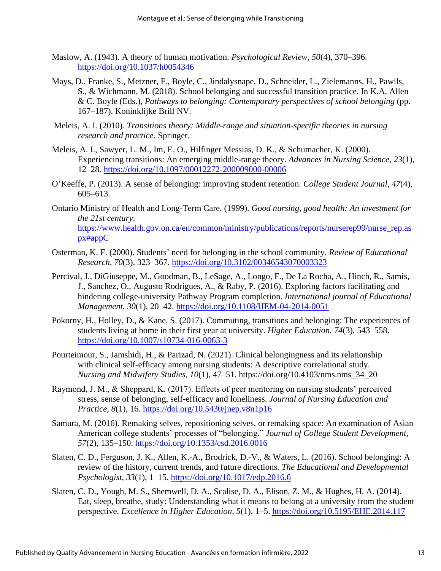- Maslow, A. (1943). A theory of human motivation. *Psychological Review, 50*(4), 370–396. https://doi.org/10.1037/h0054346
- Mays, D., Franke, S., Metzner, F., Boyle, C., Jindalysnape, D., Schneider, L., Zielemanns, H., Pawils, S., & Wichmann, M. (2018). School belonging and successful transition practice. In K.A. Allen & C. Boyle (Eds.), *Pathways to belonging: Contemporary perspectives of school belonging* (pp. 167–187). Koninklijke Brill NV.
- Meleis, A. I. (2010). *Transitions theory: Middle-range and situation-specific theories in nursing research and practice*. Springer.
- Meleis, A. I., Sawyer, L. M., Im, E. O., Hilfinger Messias, D. K., & Schumacher, K. (2000). Experiencing transitions: An emerging middle-range theory. *Advances in Nursing Science*, *23*(1), 12–28. https://doi.org/10.1097/00012272-200009000-00006
- O'Keeffe, P. (2013). A sense of belonging: improving student retention. *College Student Journal*, *47*(4), 605–613.
- Ontario Ministry of Health and Long-Term Care. (1999). *Good nursing, good health: An investment for the 21st century*. https://www.health.gov.on.ca/en/common/ministry/publications/reports/nurserep99/nurse\_rep.as px#appC
- Osterman, K. F. (2000). Students' need for belonging in the school community. *Review of Educational Research*, *70*(3), 323–367. https://doi.org/10.3102/00346543070003323
- Percival, J., DiGiuseppe, M., Goodman, B., LeSage, A., Longo, F., De La Rocha, A., Hinch, R., Samis, J., Sanchez, O., Augusto Rodrigues, A., & Raby, P. (2016). Exploring factors facilitating and hindering college-university Pathway Program completion. *International journal of Educational Management*, *30*(1), 20–42. https://doi.org/10.1108/IJEM-04-2014-0051
- Pokorny, H., Holley, D., & Kane, S. (2017). Commuting, transitions and belonging: The experiences of students living at home in their first year at university. *Higher Education*, *74*(3), 543–558. https://doi.org/10.1007/s10734-016-0063-3
- Pourteimour, S., Jamshidi, H., & Parizad, N. (2021). Clinical belongingness and its relationship with clinical self-efficacy among nursing students: A descriptive correlational study. *Nursing and Midwifery Studies, 10*(1), 47–51. https://doi.org/10.4103/nms.nms\_34\_20
- Raymond, J. M., & Sheppard, K. (2017). Effects of peer mentoring on nursing students' perceived stress, sense of belonging, self-efficacy and loneliness. *Journal of Nursing Education and Practice*, *8*(1), 16. https://doi.org/10.5430/jnep.v8n1p16
- Samura, M. (2016). Remaking selves, repositioning selves, or remaking space: An examination of Asian American college students' processes of "belonging." *Journal of College Student Development*, *57*(2), 135–150. https://doi.org/10.1353/csd.2016.0016
- Slaten, C. D., Ferguson, J. K., Allen, K.-A., Brodrick, D.-V., & Waters, L. (2016). School belonging: A review of the history, current trends, and future directions. *The Educational and Developmental Psychologist*, *33*(1), 1–15. https://doi.org/10.1017/edp.2016.6
- Slaten, C. D., Yough, M. S., Shemwell, D. A., Scalise, D. A., Elison, Z. M., & Hughes, H. A. (2014). Eat, sleep, breathe, study: Understanding what it means to belong at a university from the student perspective. *Excellence in Higher Education*, *5*(1), 1–5. https://doi.org/10.5195/EHE.2014.117